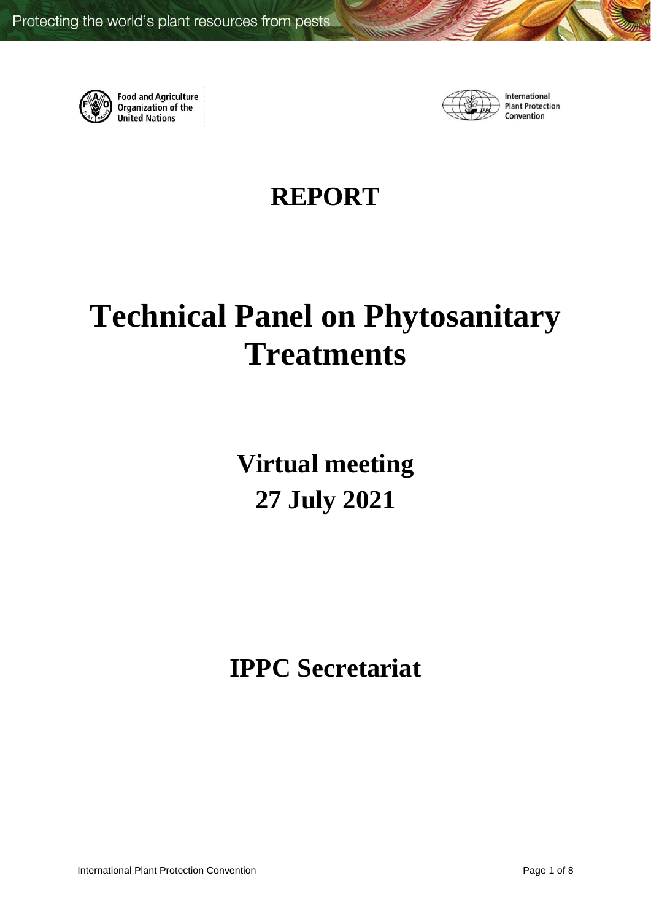

**Food and Agriculture**<br>Organization of the **United Nations** 



International **Plant Protection** Convention

# **REPORT**

# **Technical Panel on Phytosanitary Treatments**

**Virtual meeting 27 July 2021**

**IPPC Secretariat**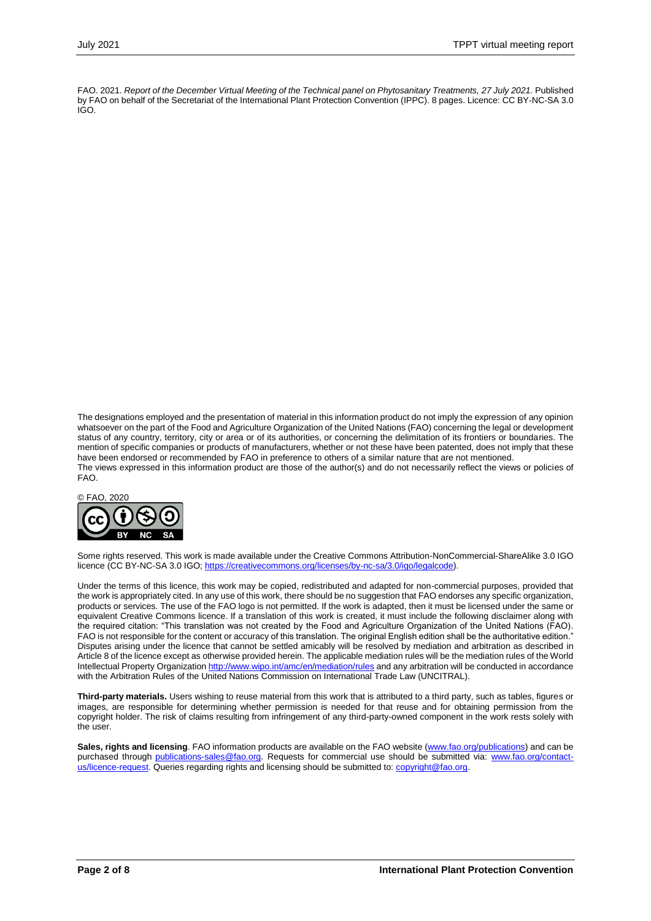FAO. 2021. *Report of the December Virtual Meeting of the Technical panel on Phytosanitary Treatments, 27 July 2021.* Published by FAO on behalf of the Secretariat of the International Plant Protection Convention (IPPC). 8 pages. Licence: CC BY-NC-SA 3.0 IGO.

The designations employed and the presentation of material in this information product do not imply the expression of any opinion whatsoever on the part of the Food and Agriculture Organization of the United Nations (FAO) concerning the legal or development status of any country, territory, city or area or of its authorities, or concerning the delimitation of its frontiers or boundaries. The mention of specific companies or products of manufacturers, whether or not these have been patented, does not imply that these have been endorsed or recommended by FAO in preference to others of a similar nature that are not mentioned. The views expressed in this information product are those of the author(s) and do not necessarily reflect the views or policies of FAO.



Some rights reserved. This work is made available under the Creative Commons Attribution-NonCommercial-ShareAlike 3.0 IGO licence (CC BY-NC-SA 3.0 IGO[; https://creativecommons.org/licenses/by-nc-sa/3.0/igo/legalcode\)](https://creativecommons.org/licenses/by-nc-sa/3.0/igo/legalcode).

Under the terms of this licence, this work may be copied, redistributed and adapted for non-commercial purposes, provided that the work is appropriately cited. In any use of this work, there should be no suggestion that FAO endorses any specific organization, products or services. The use of the FAO logo is not permitted. If the work is adapted, then it must be licensed under the same or equivalent Creative Commons licence. If a translation of this work is created, it must include the following disclaimer along with the required citation: "This translation was not created by the Food and Agriculture Organization of the United Nations (FAO). FAO is not responsible for the content or accuracy of this translation. The original English edition shall be the authoritative edition." Disputes arising under the licence that cannot be settled amicably will be resolved by mediation and arbitration as described in Article 8 of the licence except as otherwise provided herein. The applicable mediation rules will be the mediation rules of the World Intellectual Property Organizatio[n http://www.wipo.int/amc/en/mediation/rules](http://www.wipo.int/amc/en/mediation/rules) and any arbitration will be conducted in accordance with the Arbitration Rules of the United Nations Commission on International Trade Law (UNCITRAL).

**Third-party materials.** Users wishing to reuse material from this work that is attributed to a third party, such as tables, figures or images, are responsible for determining whether permission is needed for that reuse and for obtaining permission from the copyright holder. The risk of claims resulting from infringement of any third-party-owned component in the work rests solely with the user.

Sales, rights and licensing. FAO information products are available on the FAO website [\(www.fao.org/publications\)](http://www.fao.org/publications) and can be purchased through [publications-sales@fao.org.](mailto:publications-sales@fao.org) Requests for commercial use should be submitted via: [www.fao.org/contact](http://www.fao.org/contact-us/licence-request)[us/licence-request.](http://www.fao.org/contact-us/licence-request) Queries regarding rights and licensing should be submitted to: [copyright@fao.org.](mailto:copyright@fao.org)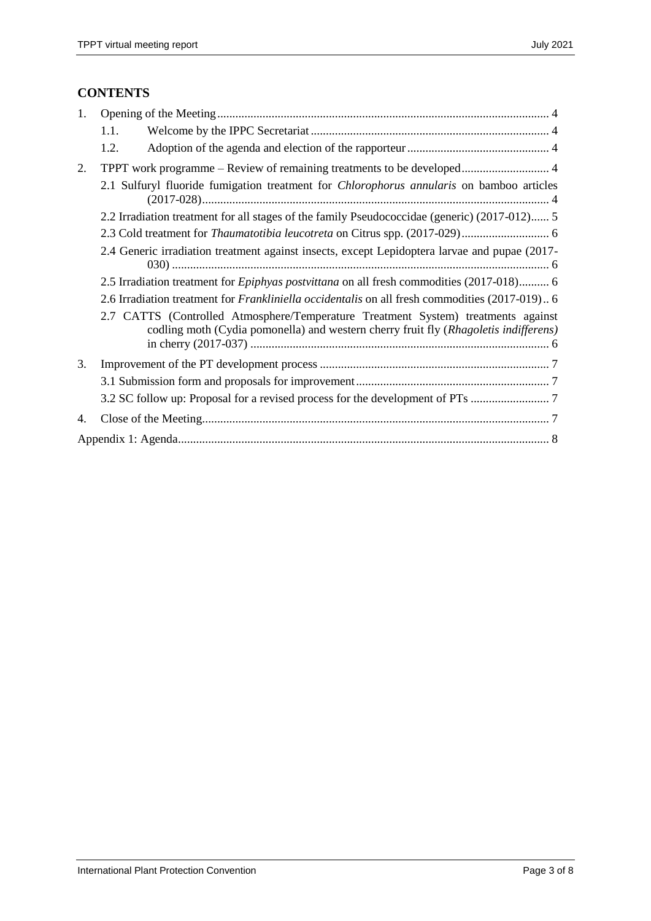## **CONTENTS**

| 1. |                                                                                                                                                                           |
|----|---------------------------------------------------------------------------------------------------------------------------------------------------------------------------|
|    | 1.1.                                                                                                                                                                      |
|    | 1.2.                                                                                                                                                                      |
| 2. |                                                                                                                                                                           |
|    | 2.1 Sulfuryl fluoride fumigation treatment for Chlorophorus annularis on bamboo articles                                                                                  |
|    | 2.2 Irradiation treatment for all stages of the family Pseudococcidae (generic) (2017-012) 5                                                                              |
|    |                                                                                                                                                                           |
|    | 2.4 Generic irradiation treatment against insects, except Lepidoptera larvae and pupae (2017-                                                                             |
|    | 2.5 Irradiation treatment for <i>Epiphyas postvittana</i> on all fresh commodities (2017-018) 6                                                                           |
|    | 2.6 Irradiation treatment for <i>Frankliniella occidentalis</i> on all fresh commodities (2017-019) 6                                                                     |
|    | 2.7 CATTS (Controlled Atmosphere/Temperature Treatment System) treatments against<br>codling moth (Cydia pomonella) and western cherry fruit fly (Rhagoletis indifferens) |
| 3. |                                                                                                                                                                           |
|    |                                                                                                                                                                           |
|    | 3.2 SC follow up: Proposal for a revised process for the development of PTs                                                                                               |
| 4. |                                                                                                                                                                           |
|    |                                                                                                                                                                           |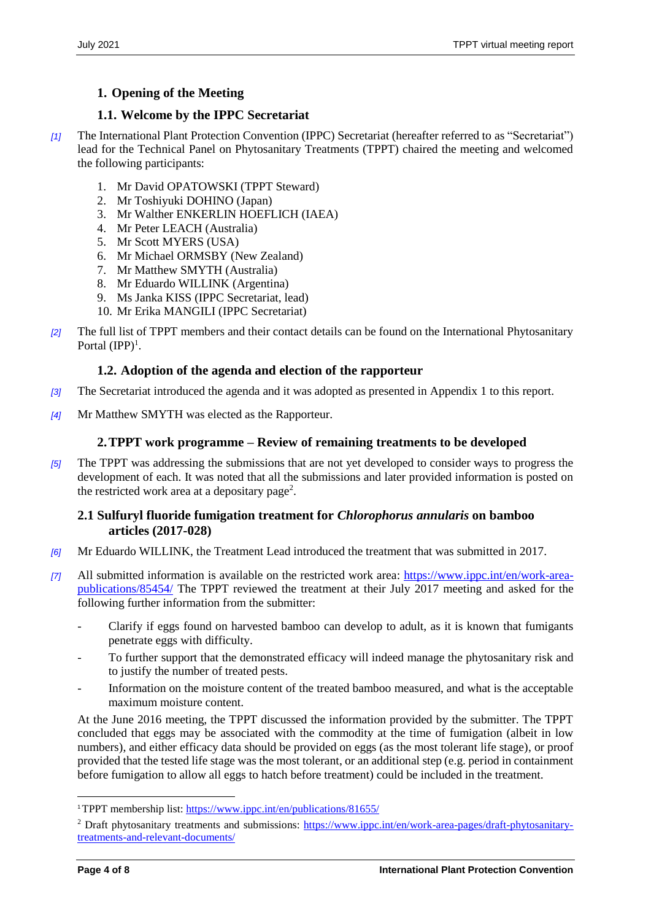# <span id="page-3-0"></span>**1. Opening of the Meeting**

#### <span id="page-3-1"></span>**1.1. Welcome by the IPPC Secretariat**

- *[1]* The International Plant Protection Convention (IPPC) Secretariat (hereafter referred to as "Secretariat") lead for the Technical Panel on Phytosanitary Treatments (TPPT) chaired the meeting and welcomed the following participants:
	- 1. Mr David OPATOWSKI (TPPT Steward)
	- 2. Mr Toshiyuki DOHINO (Japan)
	- 3. Mr Walther ENKERLIN HOEFLICH (IAEA)
	- 4. Mr Peter LEACH (Australia)
	- 5. Mr Scott MYERS (USA)
	- 6. Mr Michael ORMSBY (New Zealand)
	- 7. Mr Matthew SMYTH (Australia)
	- 8. Mr Eduardo WILLINK (Argentina)
	- 9. Ms Janka KISS (IPPC Secretariat, lead)
	- 10. Mr Erika MANGILI (IPPC Secretariat)
- *[2]* The full list of TPPT members and their contact details can be found on the International Phytosanitary Portal  $(IPP)^1$ .

#### <span id="page-3-2"></span>**1.2. Adoption of the agenda and election of the rapporteur**

- *[3]* The Secretariat introduced the agenda and it was adopted as presented in Appendix 1 to this report.
- *[4]* Mr Matthew SMYTH was elected as the Rapporteur.

#### <span id="page-3-3"></span>**2.TPPT work programme – Review of remaining treatments to be developed**

*[5]* The TPPT was addressing the submissions that are not yet developed to consider ways to progress the development of each. It was noted that all the submissions and later provided information is posted on the restricted work area at a depositary page<sup>2</sup>.

#### <span id="page-3-4"></span>**2.1 Sulfuryl fluoride fumigation treatment for** *Chlorophorus annularis* **on bamboo articles (2017-028)**

- *[6]* Mr Eduardo WILLINK, the Treatment Lead introduced the treatment that was submitted in 2017.
- *[7]* All submitted information is available on the restricted work area: [https://www.ippc.int/en/work-area](https://www.ippc.int/en/work-area-publications/85454/)[publications/85454/](https://www.ippc.int/en/work-area-publications/85454/) The TPPT reviewed the treatment at their July 2017 meeting and asked for the following further information from the submitter:
	- Clarify if eggs found on harvested bamboo can develop to adult, as it is known that fumigants penetrate eggs with difficulty.
	- To further support that the demonstrated efficacy will indeed manage the phytosanitary risk and to justify the number of treated pests.
	- Information on the moisture content of the treated bamboo measured, and what is the acceptable maximum moisture content.

At the June 2016 meeting, the TPPT discussed the information provided by the submitter. The TPPT concluded that eggs may be associated with the commodity at the time of fumigation (albeit in low numbers), and either efficacy data should be provided on eggs (as the most tolerant life stage), or proof provided that the tested life stage was the most tolerant, or an additional step (e.g. period in containment before fumigation to allow all eggs to hatch before treatment) could be included in the treatment.

 $\overline{a}$ 

<sup>1</sup>TPPT membership list:<https://www.ippc.int/en/publications/81655/>

<sup>2</sup> Draft phytosanitary treatments and submissions: [https://www.ippc.int/en/work-area-pages/draft-phytosanitary](https://www.ippc.int/en/work-area-pages/draft-phytosanitary-treatments-and-relevant-documents/)[treatments-and-relevant-documents/](https://www.ippc.int/en/work-area-pages/draft-phytosanitary-treatments-and-relevant-documents/)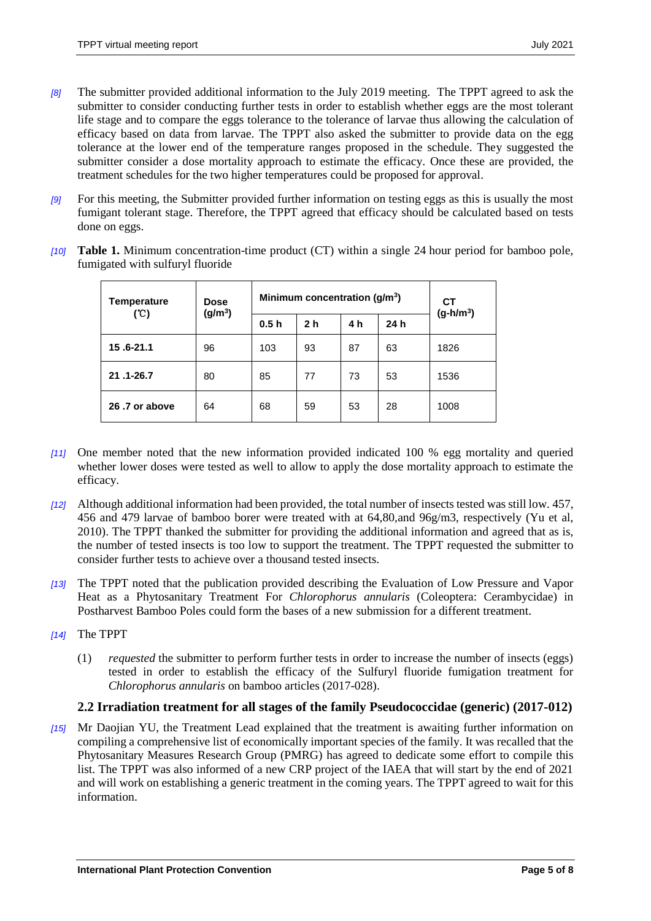- *[8]* The submitter provided additional information to the July 2019 meeting. The TPPT agreed to ask the submitter to consider conducting further tests in order to establish whether eggs are the most tolerant life stage and to compare the eggs tolerance to the tolerance of larvae thus allowing the calculation of efficacy based on data from larvae. The TPPT also asked the submitter to provide data on the egg tolerance at the lower end of the temperature ranges proposed in the schedule. They suggested the submitter consider a dose mortality approach to estimate the efficacy. Once these are provided, the treatment schedules for the two higher temperatures could be proposed for approval.
- *[9]* For this meeting, the Submitter provided further information on testing eggs as this is usually the most fumigant tolerant stage. Therefore, the TPPT agreed that efficacy should be calculated based on tests done on eggs.
- *[10]* **Table 1.** Minimum concentration-time product (CT) within a single 24 hour period for bamboo pole, fumigated with sulfuryl fluoride

| <b>Temperature</b><br>(°C) | <b>Dose</b><br>(g/m <sup>3</sup> ) | Minimum concentration $(g/m3)$ |                |     |      | <b>CT</b><br>$(g-h/m3)$ |
|----------------------------|------------------------------------|--------------------------------|----------------|-----|------|-------------------------|
|                            |                                    | 0.5 <sub>h</sub>               | 2 <sub>h</sub> | 4 h | 24 h |                         |
| 15.6-21.1                  | 96                                 | 103                            | 93             | 87  | 63   | 1826                    |
| 21.1-26.7                  | 80                                 | 85                             | 77             | 73  | 53   | 1536                    |
| 26.7 or above              | 64                                 | 68                             | 59             | 53  | 28   | 1008                    |

- *[11]* One member noted that the new information provided indicated 100 % egg mortality and queried whether lower doses were tested as well to allow to apply the dose mortality approach to estimate the efficacy.
- *[12]* Although additional information had been provided, the total number of insects tested was still low. 457, 456 and 479 larvae of bamboo borer were treated with at 64,80,and 96g/m3, respectively (Yu et al, 2010). The TPPT thanked the submitter for providing the additional information and agreed that as is, the number of tested insects is too low to support the treatment. The TPPT requested the submitter to consider further tests to achieve over a thousand tested insects.
- *[13]* The TPPT noted that the publication provided describing the Evaluation of Low Pressure and Vapor Heat as a Phytosanitary Treatment For *Chlorophorus annularis* (Coleoptera: Cerambycidae) in Postharvest Bamboo Poles could form the bases of a new submission for a different treatment.
- *[14]* The TPPT
	- (1) *requested* the submitter to perform further tests in order to increase the number of insects (eggs) tested in order to establish the efficacy of the Sulfuryl fluoride fumigation treatment for *Chlorophorus annularis* on bamboo articles (2017-028).

#### <span id="page-4-0"></span>**2.2 Irradiation treatment for all stages of the family Pseudococcidae (generic) (2017-012)**

*[15]* Mr Daojian YU, the Treatment Lead explained that the treatment is awaiting further information on compiling a comprehensive list of economically important species of the family. It was recalled that the Phytosanitary Measures Research Group (PMRG) has agreed to dedicate some effort to compile this list. The TPPT was also informed of a new CRP project of the IAEA that will start by the end of 2021 and will work on establishing a generic treatment in the coming years. The TPPT agreed to wait for this information.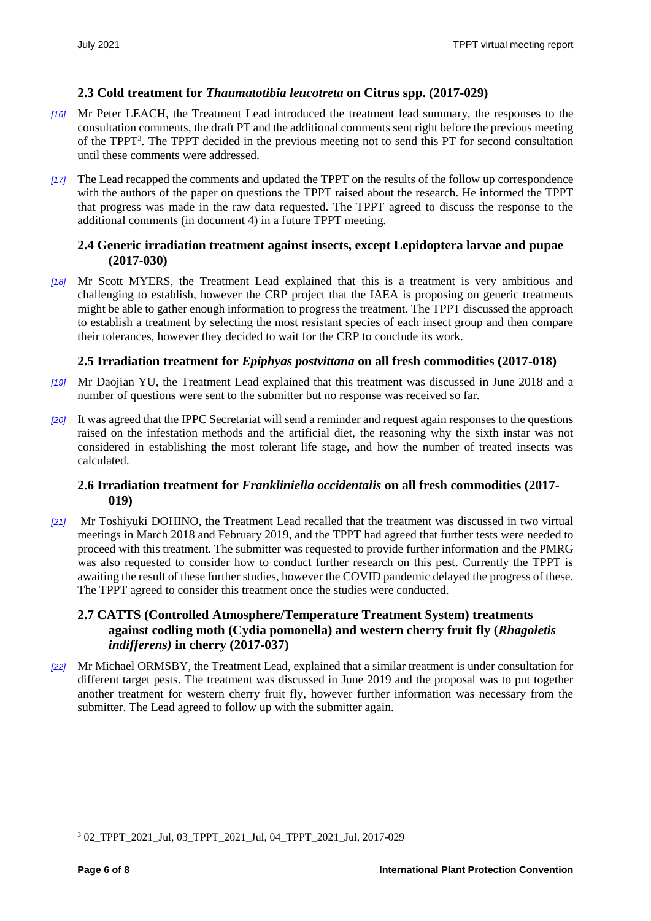#### <span id="page-5-0"></span>**2.3 Cold treatment for** *Thaumatotibia leucotreta* **on Citrus spp. (2017-029)**

- *[16]* Mr Peter LEACH, the Treatment Lead introduced the treatment lead summary, the responses to the consultation comments, the draft PT and the additional comments sent right before the previous meeting of the TPPT<sup>3</sup>. The TPPT decided in the previous meeting not to send this PT for second consultation until these comments were addressed.
- *[17]* The Lead recapped the comments and updated the TPPT on the results of the follow up correspondence with the authors of the paper on questions the TPPT raised about the research. He informed the TPPT that progress was made in the raw data requested. The TPPT agreed to discuss the response to the additional comments (in document 4) in a future TPPT meeting.

#### <span id="page-5-1"></span>**2.4 Generic irradiation treatment against insects, except Lepidoptera larvae and pupae (2017-030)**

*[18]* Mr Scott MYERS, the Treatment Lead explained that this is a treatment is very ambitious and challenging to establish, however the CRP project that the IAEA is proposing on generic treatments might be able to gather enough information to progress the treatment. The TPPT discussed the approach to establish a treatment by selecting the most resistant species of each insect group and then compare their tolerances, however they decided to wait for the CRP to conclude its work.

#### <span id="page-5-2"></span>**2.5 Irradiation treatment for** *Epiphyas postvittana* **on all fresh commodities (2017-018)**

- *[19]* Mr Daojian YU, the Treatment Lead explained that this treatment was discussed in June 2018 and a number of questions were sent to the submitter but no response was received so far.
- *[20]* It was agreed that the IPPC Secretariat will send a reminder and request again responses to the questions raised on the infestation methods and the artificial diet, the reasoning why the sixth instar was not considered in establishing the most tolerant life stage, and how the number of treated insects was calculated.

#### <span id="page-5-3"></span>**2.6 Irradiation treatment for** *Frankliniella occidentalis* **on all fresh commodities (2017- 019)**

*[21]* Mr Toshiyuki DOHINO, the Treatment Lead recalled that the treatment was discussed in two virtual meetings in March 2018 and February 2019, and the TPPT had agreed that further tests were needed to proceed with this treatment. The submitter was requested to provide further information and the PMRG was also requested to consider how to conduct further research on this pest. Currently the TPPT is awaiting the result of these further studies, however the COVID pandemic delayed the progress of these. The TPPT agreed to consider this treatment once the studies were conducted.

#### <span id="page-5-4"></span>**2.7 CATTS (Controlled Atmosphere/Temperature Treatment System) treatments against codling moth (Cydia pomonella) and western cherry fruit fly (***Rhagoletis indifferens)* **in cherry (2017-037)**

*[22]* Mr Michael ORMSBY, the Treatment Lead, explained that a similar treatment is under consultation for different target pests. The treatment was discussed in June 2019 and the proposal was to put together another treatment for western cherry fruit fly, however further information was necessary from the submitter. The Lead agreed to follow up with the submitter again.

 $\overline{a}$ 

<sup>3</sup> 02\_TPPT\_2021\_Jul, 03\_TPPT\_2021\_Jul, 04\_TPPT\_2021\_Jul, 2017-029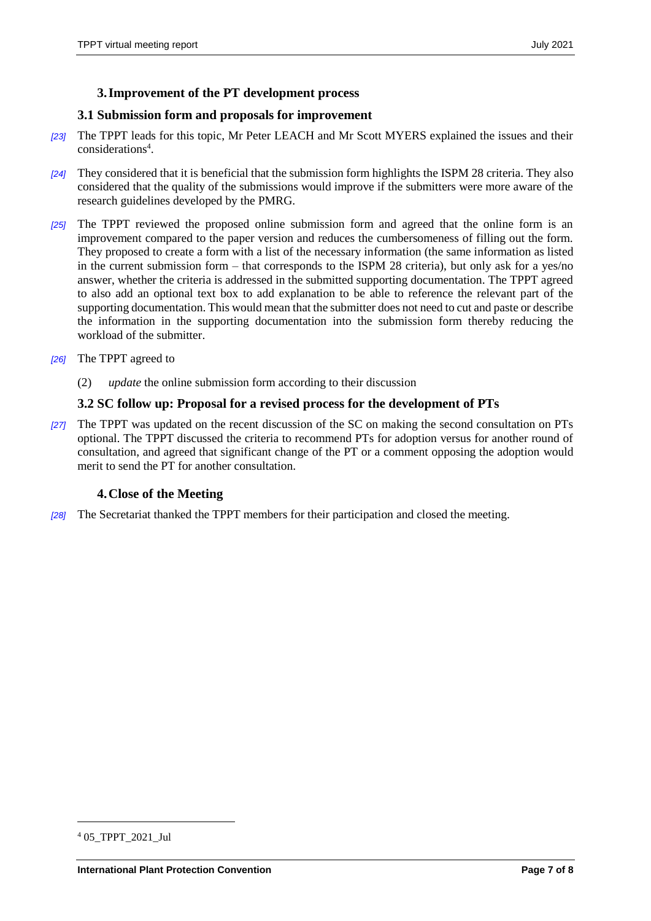#### <span id="page-6-0"></span>**3.Improvement of the PT development process**

#### <span id="page-6-1"></span>**3.1 Submission form and proposals for improvement**

- *[23]* The TPPT leads for this topic, Mr Peter LEACH and Mr Scott MYERS explained the issues and their considerations<sup>4</sup>.
- *[24]* They considered that it is beneficial that the submission form highlights the ISPM 28 criteria. They also considered that the quality of the submissions would improve if the submitters were more aware of the research guidelines developed by the PMRG.
- *[25]* The TPPT reviewed the proposed online submission form and agreed that the online form is an improvement compared to the paper version and reduces the cumbersomeness of filling out the form. They proposed to create a form with a list of the necessary information (the same information as listed in the current submission form – that corresponds to the ISPM 28 criteria), but only ask for a yes/no answer, whether the criteria is addressed in the submitted supporting documentation. The TPPT agreed to also add an optional text box to add explanation to be able to reference the relevant part of the supporting documentation. This would mean that the submitter does not need to cut and paste or describe the information in the supporting documentation into the submission form thereby reducing the workload of the submitter.
- *[26]* The TPPT agreed to
	- (2) *update* the online submission form according to their discussion

#### <span id="page-6-2"></span>**3.2 SC follow up: Proposal for a revised process for the development of PTs**

*[27]* The TPPT was updated on the recent discussion of the SC on making the second consultation on PTs optional. The TPPT discussed the criteria to recommend PTs for adoption versus for another round of consultation, and agreed that significant change of the PT or a comment opposing the adoption would merit to send the PT for another consultation.

#### <span id="page-6-3"></span>**4.Close of the Meeting**

*[28]* The Secretariat thanked the TPPT members for their participation and closed the meeting.

 $\overline{a}$ 

<sup>&</sup>lt;sup>4</sup> 05\_TPPT\_2021\_Jul